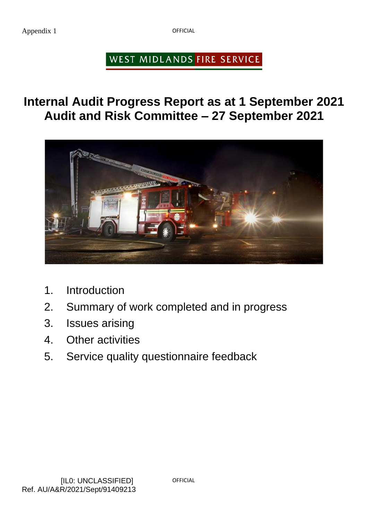Appendix 1

**OFFICIAL** 

# WEST MIDLANDS FIRE SERVICE

**Internal Audit Progress Report as at 1 September 2021 Audit and Risk Committee – 27 September 2021**



- 1. Introduction
- 2. Summary of work completed and in progress
- 3. Issues arising
- 4. Other activities
- 5. Service quality questionnaire feedback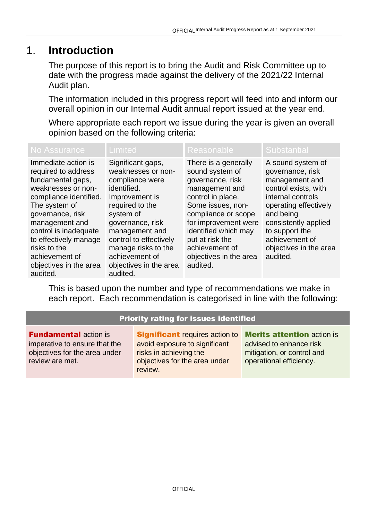## 1. **Introduction**

The purpose of this report is to bring the Audit and Risk Committee up to date with the progress made against the delivery of the 2021/22 Internal Audit plan.

The information included in this progress report will feed into and inform our overall opinion in our Internal Audit annual report issued at the year end.

Where appropriate each report we issue during the year is given an overall opinion based on the following criteria:

| No Assurance                                                                                                                                                                                                                                                                                     | Limited                                                                                                                                                                                                                                                                    | Reasonable                                                                                                                                                                                                                                                                | <b>Substantial</b>                                                                                                                                                                                                                           |
|--------------------------------------------------------------------------------------------------------------------------------------------------------------------------------------------------------------------------------------------------------------------------------------------------|----------------------------------------------------------------------------------------------------------------------------------------------------------------------------------------------------------------------------------------------------------------------------|---------------------------------------------------------------------------------------------------------------------------------------------------------------------------------------------------------------------------------------------------------------------------|----------------------------------------------------------------------------------------------------------------------------------------------------------------------------------------------------------------------------------------------|
| Immediate action is<br>required to address<br>fundamental gaps,<br>weaknesses or non-<br>compliance identified.<br>The system of<br>governance, risk<br>management and<br>control is inadequate<br>to effectively manage<br>risks to the<br>achievement of<br>objectives in the area<br>audited. | Significant gaps,<br>weaknesses or non-<br>compliance were<br>identified.<br>Improvement is<br>required to the<br>system of<br>governance, risk<br>management and<br>control to effectively<br>manage risks to the<br>achievement of<br>objectives in the area<br>audited. | There is a generally<br>sound system of<br>governance, risk<br>management and<br>control in place.<br>Some issues, non-<br>compliance or scope<br>for improvement were<br>identified which may<br>put at risk the<br>achievement of<br>objectives in the area<br>audited. | A sound system of<br>governance, risk<br>management and<br>control exists, with<br>internal controls<br>operating effectively<br>and being<br>consistently applied<br>to support the<br>achievement of<br>objectives in the area<br>audited. |

This is based upon the number and type of recommendations we make in each report. Each recommendation is categorised in line with the following:

#### Priority rating for issues identified

**Fundamental action is** imperative to ensure that the objectives for the area under review are met.

**Significant** requires action to avoid exposure to significant risks in achieving the objectives for the area under review.

**Merits attention action is** advised to enhance risk mitigation, or control and operational efficiency.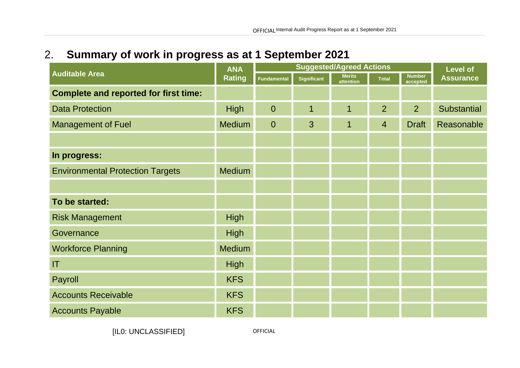# 2. **Summary of work in progress as at 1 September 2021**

|                                              | <b>ANA</b><br><b>Rating</b> | <b>Suggested/Agreed Actions</b> |                    |                            |                | <b>Level of</b>           |                    |
|----------------------------------------------|-----------------------------|---------------------------------|--------------------|----------------------------|----------------|---------------------------|--------------------|
| <b>Auditable Area</b>                        |                             | <b>Fundamental</b>              | <b>Significant</b> | <b>Merits</b><br>attention | <b>Total</b>   | <b>Number</b><br>accepted | <b>Assurance</b>   |
| <b>Complete and reported for first time:</b> |                             |                                 |                    |                            |                |                           |                    |
| <b>Data Protection</b>                       | <b>High</b>                 | $\overline{0}$                  | 1                  | 1                          | $\overline{2}$ | $\overline{2}$            | <b>Substantial</b> |
| <b>Management of Fuel</b>                    | <b>Medium</b>               | $\overline{0}$                  | $\overline{3}$     | 1                          | $\overline{4}$ | <b>Draft</b>              | Reasonable         |
|                                              |                             |                                 |                    |                            |                |                           |                    |
| In progress:                                 |                             |                                 |                    |                            |                |                           |                    |
| <b>Environmental Protection Targets</b>      | <b>Medium</b>               |                                 |                    |                            |                |                           |                    |
|                                              |                             |                                 |                    |                            |                |                           |                    |
| To be started:                               |                             |                                 |                    |                            |                |                           |                    |
| <b>Risk Management</b>                       | <b>High</b>                 |                                 |                    |                            |                |                           |                    |
| Governance                                   | <b>High</b>                 |                                 |                    |                            |                |                           |                    |
| <b>Workforce Planning</b>                    | Medium                      |                                 |                    |                            |                |                           |                    |
| IT                                           | <b>High</b>                 |                                 |                    |                            |                |                           |                    |
| Payroll                                      | <b>KFS</b>                  |                                 |                    |                            |                |                           |                    |
| <b>Accounts Receivable</b>                   | <b>KFS</b>                  |                                 |                    |                            |                |                           |                    |
| <b>Accounts Payable</b>                      | <b>KFS</b>                  |                                 |                    |                            |                |                           |                    |

[IL0: UNCLASSIFIED]

OFFICIAL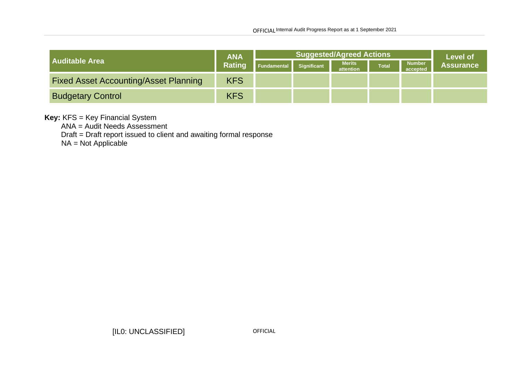|                                              | <b>ANA</b><br>Rating | <b>Suggested/Agreed Actions</b> |                    |                            |              | <b>Level of</b>           |                  |
|----------------------------------------------|----------------------|---------------------------------|--------------------|----------------------------|--------------|---------------------------|------------------|
| <b>Auditable Area</b>                        |                      | Fundamental                     | <b>Significant</b> | <b>Merits</b><br>attention | <b>Total</b> | <b>Number</b><br>accepted | <b>Assurance</b> |
| <b>Fixed Asset Accounting/Asset Planning</b> | <b>KFS</b>           |                                 |                    |                            |              |                           |                  |
| <b>Budgetary Control</b>                     | <b>KFS</b>           |                                 |                    |                            |              |                           |                  |

#### **Key:** KFS = Key Financial System

ANA = Audit Needs Assessment

Draft = Draft report issued to client and awaiting formal response

NA = Not Applicable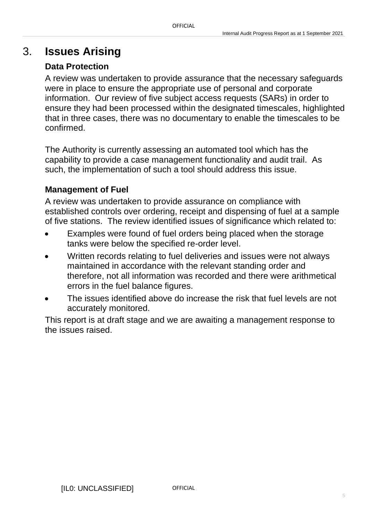## 3. **Issues Arising**

### **Data Protection**

A review was undertaken to provide assurance that the necessary safeguards were in place to ensure the appropriate use of personal and corporate information. Our review of five subject access requests (SARs) in order to ensure they had been processed within the designated timescales, highlighted that in three cases, there was no documentary to enable the timescales to be confirmed.

The Authority is currently assessing an automated tool which has the capability to provide a case management functionality and audit trail. As such, the implementation of such a tool should address this issue.

### **Management of Fuel**

A review was undertaken to provide assurance on compliance with established controls over ordering, receipt and dispensing of fuel at a sample of five stations. The review identified issues of significance which related to:

- Examples were found of fuel orders being placed when the storage tanks were below the specified re-order level.
- Written records relating to fuel deliveries and issues were not always maintained in accordance with the relevant standing order and therefore, not all information was recorded and there were arithmetical errors in the fuel balance figures.
- The issues identified above do increase the risk that fuel levels are not accurately monitored.

This report is at draft stage and we are awaiting a management response to the issues raised.